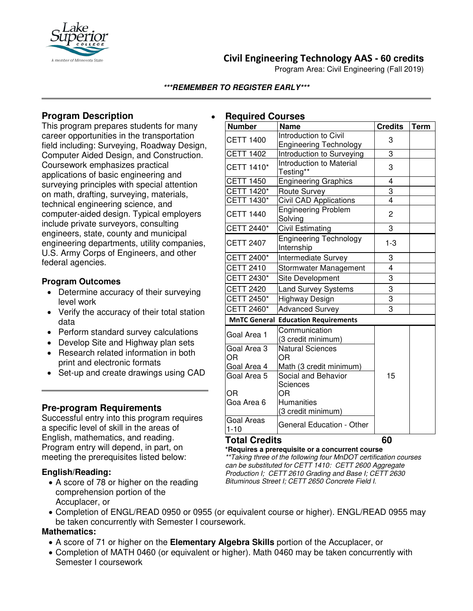

# **Civil Engineering Technology AAS - 60 credits**

Program Area: Civil Engineering (Fall 2019)

### **\*\*\*REMEMBER TO REGISTER EARLY\*\*\***

## **Program Description**

This program prepares students for many career opportunities in the transportation field including: Surveying, Roadway Design, Computer Aided Design, and Construction. Coursework emphasizes practical applications of basic engineering and surveying principles with special attention on math, drafting, surveying, materials, technical engineering science, and computer-aided design. Typical employers include private surveyors, consulting engineers, state, county and municipal engineering departments, utility companies, U.S. Army Corps of Engineers, and other federal agencies.

### **Program Outcomes**

- Determine accuracy of their surveying level work
- Verify the accuracy of their total station data
- Perform standard survey calculations
- Develop Site and Highway plan sets
- Research related information in both print and electronic formats
- Set-up and create drawings using CAD

## **Pre-program Requirements**

Successful entry into this program requires a specific level of skill in the areas of English, mathematics, and reading. Program entry will depend, in part, on meeting the prerequisites listed below:

### **English/Reading:**

• A score of 78 or higher on the reading comprehension portion of the Accuplacer, or

#### **Number Name Credits Term** CETT 1400  $\boxed{\begin{bmatrix} \text{Introduction to Civil} \\ \text{In$ mmoduction to Civil<br>Engineering Technology | 3 CETT 1402 | Introduction to Surveying | 3 CETT  $1410^*$  Introduction to Material Testing\*\* 23 CETT 1450 | Engineering Graphics | 4 CETT 1420\* Route Survey 3 CETT 1430<sup>\*</sup> Civil CAD Applications | 4 CETT 1440 Engineering Problem Engineering Problem<br>Solving 2 CETT 2440 $*$  Civil Estimating  $\vert$  3 CETT 2407 Engineering Technology Engineering rechnology | 1-3<br>Internship CETT 2400\* |Intermediate Survey | 3 CETT 2410 Stormwater Management | 4 CETT 2430\* Site Development 3 CETT 2420 Land Survey Systems 3 CETT 2450\*  $|$ Highway Design  $|$  3  $CETT 2460*$   $|$ Advanced Survey  $|$  3 **MnTC General Education Requirements** Goal Area 1 Communication (3 credit minimum) Goal Area 3 OR Goal Area 4 Natural Sciences OR Math (3 credit minimum) Goal Area 5 OR Goa Area 6 Social and Behavior **Sciences** OR **Humanities** (3 credit minimum) 15 Goal Areas Goal Aleas General Education - Other

### **Total Credits 60**

**\*Requires a prerequisite or a concurrent course** *\*\*Taking three of the following four MnDOT certification courses can be substituted for CETT 1410: CETT 2600 Aggregate Production I; CETT 2610 Grading and Base I; CETT 2630 Bituminous Street I; CETT 2650 Concrete Field I.*

• Completion of ENGL/READ 0950 or 0955 (or equivalent course or higher). ENGL/READ 0955 may be taken concurrently with Semester I coursework.

## **Mathematics:**

- A score of 71 or higher on the **Elementary Algebra Skills** portion of the Accuplacer, or
- Completion of MATH 0460 (or equivalent or higher). Math 0460 may be taken concurrently with Semester I coursework

### • **Required Courses**